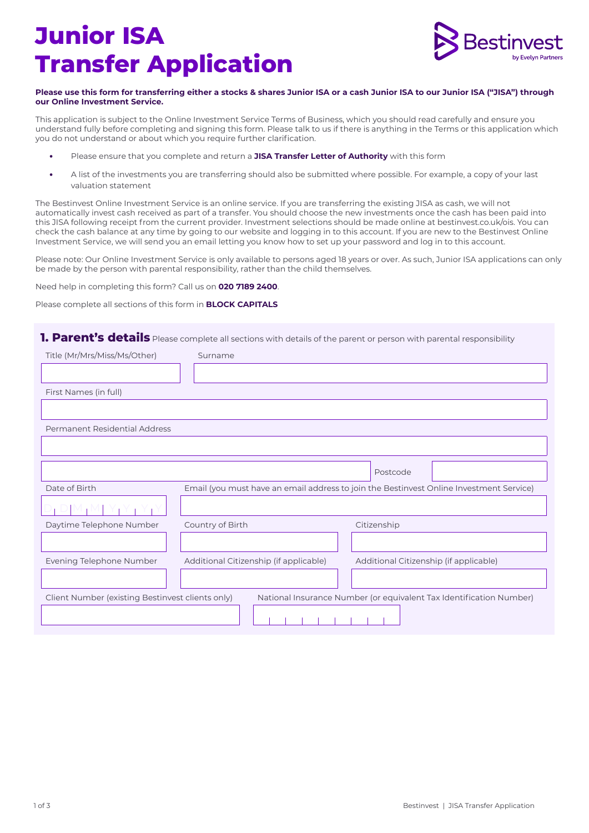# **Junior ISA Transfer Application**



#### **Please use this form for transferring either a stocks & shares Junior ISA or a cash Junior ISA to our Junior ISA ("JISA") through our Online Investment Service.**

This application is subject to the Online Investment Service Terms of Business, which you should read carefully and ensure you understand fully before completing and signing this form. Please talk to us if there is anything in the Terms or this application which you do not understand or about which you require further clarification.

- **•** Please ensure that you complete and return a **JISA Transfer Letter of Authority** with this form
- **•** A list of the investments you are transferring should also be submitted where possible. For example, a copy of your last valuation statement

The Bestinvest Online Investment Service is an online service. If you are transferring the existing JISA as cash, we will not automatically invest cash received as part of a transfer. You should choose the new investments once the cash has been paid into this JISA following receipt from the current provider. Investment selections should be made online at bestinvest.co.uk/ois. You can check the cash balance at any time by going to our website and logging in to this account. If you are new to the Bestinvest Online Investment Service, we will send you an email letting you know how to set up your password and log in to this account.

Please note: Our Online Investment Service is only available to persons aged 18 years or over. As such, Junior ISA applications can only be made by the person with parental responsibility, rather than the child themselves.

Need help in completing this form? Call us on **020 7189 2400**.

Please complete all sections of this form in **BLOCK CAPITALS** 

### **1. Parent's details** Please complete all sections with details of the parent or person with parental responsibility

| Title (Mr/Mrs/Miss/Ms/Other)                                                                                            | Surname                                                                                 |  |  |
|-------------------------------------------------------------------------------------------------------------------------|-----------------------------------------------------------------------------------------|--|--|
|                                                                                                                         |                                                                                         |  |  |
| First Names (in full)                                                                                                   |                                                                                         |  |  |
|                                                                                                                         |                                                                                         |  |  |
| Permanent Residential Address                                                                                           |                                                                                         |  |  |
|                                                                                                                         |                                                                                         |  |  |
|                                                                                                                         | Postcode                                                                                |  |  |
| Date of Birth                                                                                                           | Email (you must have an email address to join the Bestinvest Online Investment Service) |  |  |
|                                                                                                                         |                                                                                         |  |  |
| Daytime Telephone Number                                                                                                | Country of Birth<br>Citizenship                                                         |  |  |
|                                                                                                                         |                                                                                         |  |  |
| Evening Telephone Number                                                                                                | Additional Citizenship (if applicable)<br>Additional Citizenship (if applicable)        |  |  |
|                                                                                                                         |                                                                                         |  |  |
| National Insurance Number (or equivalent Tax Identification Number)<br>Client Number (existing Bestinvest clients only) |                                                                                         |  |  |
|                                                                                                                         |                                                                                         |  |  |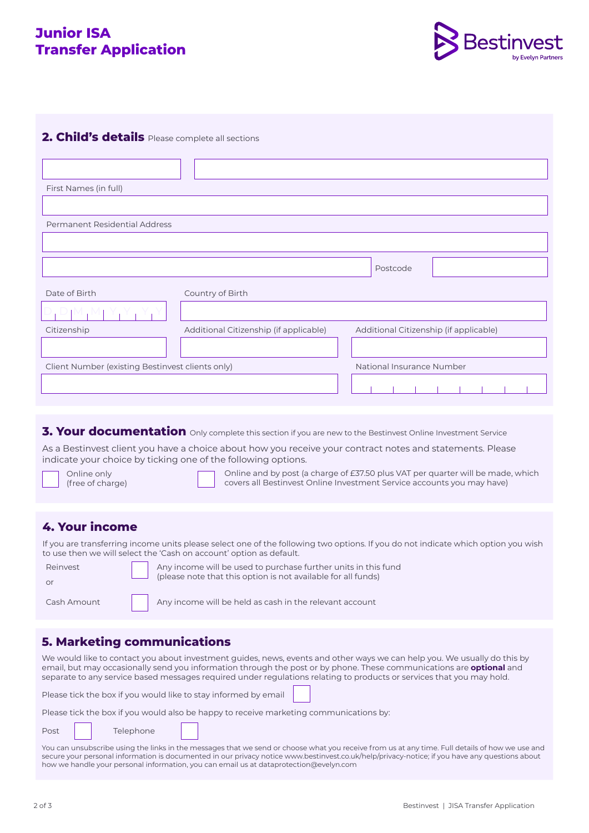## **Junior ISA Transfer Application**



## **2. Child's details** Please complete all sections

| First Names (in full)                            |                                        |                                        |
|--------------------------------------------------|----------------------------------------|----------------------------------------|
|                                                  |                                        |                                        |
| Permanent Residential Address                    |                                        |                                        |
|                                                  |                                        |                                        |
|                                                  |                                        | Postcode                               |
| Date of Birth                                    | Country of Birth                       |                                        |
|                                                  |                                        |                                        |
| Citizenship                                      | Additional Citizenship (if applicable) | Additional Citizenship (if applicable) |
|                                                  |                                        |                                        |
| Client Number (existing Bestinvest clients only) |                                        | National Insurance Number              |
|                                                  |                                        |                                        |

## **3. Your documentation** Only complete this section if you are new to the Bestinvest Online Investment Service

As a Bestinvest client you have a choice about how you receive your contract notes and statements. Please indicate your choice by ticking one of the following options.

| Online only      |
|------------------|
| (free of charge) |

Online and by post (a charge of £37.50 plus VAT per quarter will be made, which covers all Bestinvest Online Investment Service accounts you may have)

## **4. Your income**

If you are transferring income units please select one of the following two options. If you do not indicate which option you wish to use then we will select the 'Cash on account' option as default.

| Reinvest<br>$\cap$ r | Any income will be used to purchase further units in this fund<br>(please note that this option is not available for all funds) |
|----------------------|---------------------------------------------------------------------------------------------------------------------------------|
| Cash Amount          | Any income will be held as cash in the relevant account                                                                         |

#### **5. Marketing communications**

We would like to contact you about investment guides, news, events and other ways we can help you. We usually do this by email, but may occasionally send you information through the post or by phone. These communications are **optional** and separate to any service based messages required under regulations relating to products or services that you may hold.

Please tick the box if you would like to stay informed by email

| Please tick the box if you would also be happy to receive marketing communications by: |  |  |  |
|----------------------------------------------------------------------------------------|--|--|--|
|----------------------------------------------------------------------------------------|--|--|--|

Post | Telephone

You can unsubscribe using the links in the messages that we send or choose what you receive from us at any time. Full details of how we use and secure your personal information is documented in our privacy notice www.bestinvest.co.uk/help/privacy-notice; if you have any questions about how we handle your personal information, you can email us at dataprotection@evelyn.com